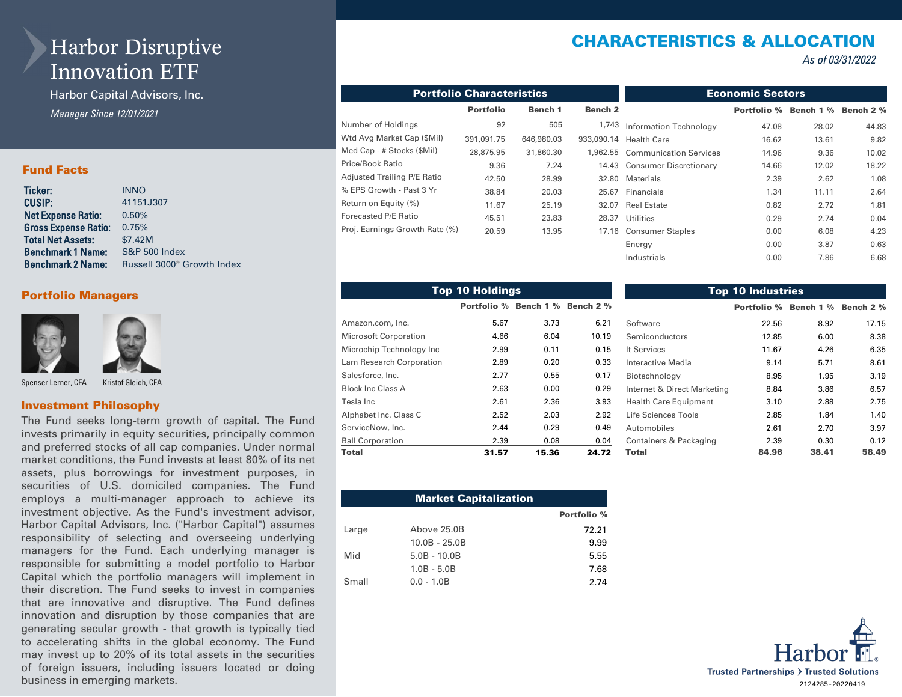# Harbor Disruptive Innovation ETF

Harbor Capital Advisors, Inc. *Manager Since 12/01/2021* 

### Fund Facts

| Ticker:                     | <b>INNO</b>                            |
|-----------------------------|----------------------------------------|
| CUSIP:                      | 41151J307                              |
| Net Expense Ratio:          | 0.50%                                  |
| <b>Gross Expense Ratio:</b> | 0.75%                                  |
| <b>Total Net Assets:</b>    | \$7.42M                                |
| Benchmark 1 Name:           | <b>S&amp;P 500 Index</b>               |
| <b>Benchmark 2 Name:</b>    | Russell 3000 <sup>®</sup> Growth Index |
|                             |                                        |

### Portfolio Managers



Spenser Lerner, CFA Kristof Gleich, CFA

#### Investment Philosophy

The Fund seeks long-term growth of capital. The Fund invests primarily in equity securities, principally common and preferred stocks of all cap companies. Under normal market conditions, the Fund invests at least 80% of its net assets, plus borrowings for investment purposes, in securities of U.S. domiciled companies. The Fund employs a multi-manager approach to achieve its investment objective. As the Fund's investment advisor, Harbor Capital Advisors, Inc. ("Harbor Capital") assumes responsibility of selecting and overseeing underlying managers for the Fund. Each underlying manager is responsible for submitting a model portfolio to Harbor Capital which the portfolio managers will implement in their discretion. The Fund seeks to invest in companies that are innovative and disruptive. The Fund defines innovation and disruption by those companies that are generating secular growth - that growth is typically tied to accelerating shifts in the global economy. The Fund may invest up to 20% of its total assets in the securities of foreign issuers, including issuers located or doing business in emerging markets.

# CHARACTERISTICS & ALLOCATION

*As of 03/31/2022*

| <b>Portfolio Characteristics</b> | <b>Economic Sectors</b> |            |                    |                                 |                    |           |           |
|----------------------------------|-------------------------|------------|--------------------|---------------------------------|--------------------|-----------|-----------|
|                                  | <b>Portfolio</b>        | Bench 1    | Bench <sub>2</sub> |                                 | <b>Portfolio</b> % | Bench 1 % | Bench 2 % |
| Number of Holdings               | 92                      | 505        | 1,743              | Information Technology          | 47.08              | 28.02     | 44.83     |
| Wtd Avg Market Cap (\$Mil)       | 391,091.75              | 646,980.03 | 933,090.14         | <b>Health Care</b>              | 16.62              | 13.61     | 9.82      |
| Med Cap - # Stocks (\$Mil)       | 28,875.95               | 31,860.30  |                    | 1,962.55 Communication Services | 14.96              | 9.36      | 10.02     |
| Price/Book Ratio                 | 9.36                    | 7.24       |                    | 14.43 Consumer Discretionary    | 14.66              | 12.02     | 18.22     |
| Adjusted Trailing P/E Ratio      | 42.50                   | 28.99      | 32.80              | <b>Materials</b>                | 2.39               | 2.62      | 1.08      |
| % EPS Growth - Past 3 Yr         | 38.84                   | 20.03      | 25.67              | Financials                      | 1.34               | 11.11     | 2.64      |
| Return on Equity (%)             | 11.67                   | 25.19      | 32.07              | <b>Real Estate</b>              | 0.82               | 2.72      | 1.81      |
| Forecasted P/E Ratio             | 45.51                   | 23.83      | 28.37              | <b>Utilities</b>                | 0.29               | 2.74      | 0.04      |
| Proj. Earnings Growth Rate (%)   | 20.59                   | 13.95      | 17.16              | <b>Consumer Staples</b>         | 0.00               | 6.08      | 4.23      |
|                                  |                         |            |                    | Energy                          | 0.00               | 3.87      | 0.63      |
|                                  |                         |            |                    | Industrials                     | 0.00               | 7.86      | 6.68      |

|                          | <b>Top 10 Holdings</b> |       |             | <b>Top 10 Industries</b>     |                              |       |           |  |  |  |  |  |
|--------------------------|------------------------|-------|-------------|------------------------------|------------------------------|-------|-----------|--|--|--|--|--|
|                          | Portfolio % Bench 1 %  |       | Bench $2\%$ |                              | <b>Portfolio % Bench 1 %</b> |       | Bench 2 % |  |  |  |  |  |
| Amazon.com, Inc.         | 5.67                   | 3.73  | 6.21        | Software                     | 22.56                        | 8.92  | 17.15     |  |  |  |  |  |
| Microsoft Corporation    | 4.66                   | 6.04  | 10.19       | Semiconductors               | 12.85                        | 6.00  | 8.38      |  |  |  |  |  |
| Microchip Technology Inc | 2.99                   | 0.11  | 0.15        | It Services                  | 11.67                        | 4.26  | 6.35      |  |  |  |  |  |
| Lam Research Corporation | 2.89                   | 0.20  | 0.33        | Interactive Media            | 9.14                         | 5.71  | 8.61      |  |  |  |  |  |
| Salesforce, Inc.         | 2.77                   | 0.55  | 0.17        | Biotechnology                | 8.95                         | 1.95  | 3.19      |  |  |  |  |  |
| Block Inc Class A        | 2.63                   | 0.00  | 0.29        | Internet & Direct Marketing  | 8.84                         | 3.86  | 6.57      |  |  |  |  |  |
| Tesla Inc                | 2.61                   | 2.36  | 3.93        | <b>Health Care Equipment</b> | 3.10                         | 2.88  | 2.75      |  |  |  |  |  |
| Alphabet Inc. Class C    | 2.52                   | 2.03  | 2.92        | Life Sciences Tools          | 2.85                         | 1.84  | 1.40      |  |  |  |  |  |
| ServiceNow, Inc.         | 2.44                   | 0.29  | 0.49        | Automobiles                  | 2.61                         | 2.70  | 3.97      |  |  |  |  |  |
| <b>Ball Corporation</b>  | 2.39                   | 0.08  | 0.04        | Containers & Packaging       | 2.39                         | 0.30  | 0.12      |  |  |  |  |  |
| Total                    | 31.57                  | 15.36 | 24.72       | Total                        | 84.96                        | 38.41 | 58.49     |  |  |  |  |  |

| <b>Market Capitalization</b> |                 |             |  |  |  |  |  |  |
|------------------------------|-----------------|-------------|--|--|--|--|--|--|
|                              |                 | Portfolio % |  |  |  |  |  |  |
| Large                        | Above 25.0B     | 72.21       |  |  |  |  |  |  |
|                              | $10.0B - 25.0B$ | 9.99        |  |  |  |  |  |  |
| Mid                          | $5.0B - 10.0B$  | 5.55        |  |  |  |  |  |  |
|                              | $1.0B - 5.0B$   | 7.68        |  |  |  |  |  |  |
| Small                        | $0.0 - 1.0B$    | 2.74        |  |  |  |  |  |  |

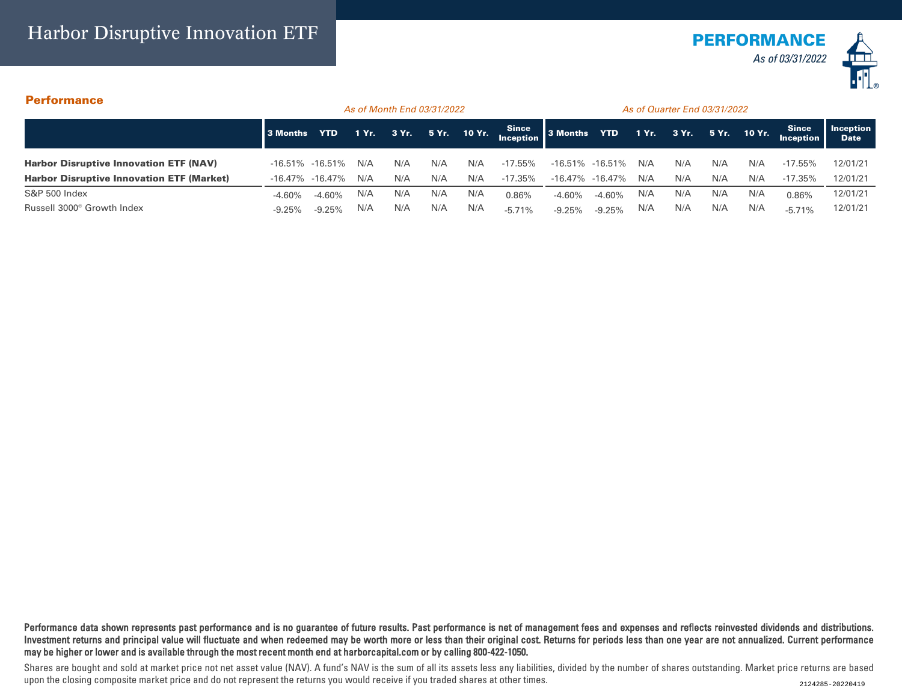

## Performance

|                                                  |                       | As of Month End 03/31/2022 |       |     |     |     |                                       | As of Quarter End 03/31/2022 |          |       |       |     |              |                           |                          |
|--------------------------------------------------|-----------------------|----------------------------|-------|-----|-----|-----|---------------------------------------|------------------------------|----------|-------|-------|-----|--------------|---------------------------|--------------------------|
|                                                  | 3 Months              | <b>YTD</b>                 | 1 Yr. |     |     |     | 3 Yr. 5 Yr. 10 Yr. Since 3 Months YTD |                              |          | 1 Yr. | 3 Yr. |     | 5 Yr. 10 Yr. | <b>Since</b><br>Inception | Inception<br><b>Date</b> |
| <b>Harbor Disruptive Innovation ETF (NAV)</b>    | $-16.51\% -16.51\%$   |                            | N/A   | N/A | N/A | N/A | $-17.55\%$                            | $-16.51\% -16.51\%$          |          | N/A   | N/A   | N/A | N/A          | $-17.55\%$                | 12/01/21                 |
| <b>Harbor Disruptive Innovation ETF (Market)</b> | $-16.47\%$ $-16.47\%$ |                            | N/A   | N/A | N/A | N/A | -17.35%                               | $-16.47\%$ $-16.47\%$        |          | N/A   | N/A   | N/A | N/A          | $-17.35%$                 | 12/01/21                 |
| <b>S&amp;P 500 Index</b>                         | $-4.60\%$             | $-4.60%$                   | N/A   | N/A | N/A | N/A | 0.86%                                 | $-4.60%$                     | $-4.60%$ | N/A   | N/A   | N/A | N/A          | 0.86%                     | 12/01/21                 |
| Russell 3000 <sup>®</sup> Growth Index           |                       | $-9.25%$                   | N/A   | N/A | N/A | N/A | $-5.71%$                              | $-9.25%$                     | $-9.25%$ | N/A   | N/A   | N/A | N/A          | $-5.71%$                  | 12/01/21                 |

Performance data shown represents past performance and is no guarantee of future results. Past performance is net of management fees and expenses and reflects reinvested dividends and distributions. Investment returns and principal value will fluctuate and when redeemed may be worth more or less than their original cost. Returns for periods less than one year are not annualized. Current performance may be higher or lower and is available through the most recent month end at harborcapital.com or by calling 800-422-1050.

Shares are bought and sold at market price not net asset value (NAV). A fund's NAV is the sum of all its assets less any liabilities, divided by the number of shares outstanding. Market price returns are based upon the closing composite market price and do not represent the returns you would receive if you traded shares at other times.